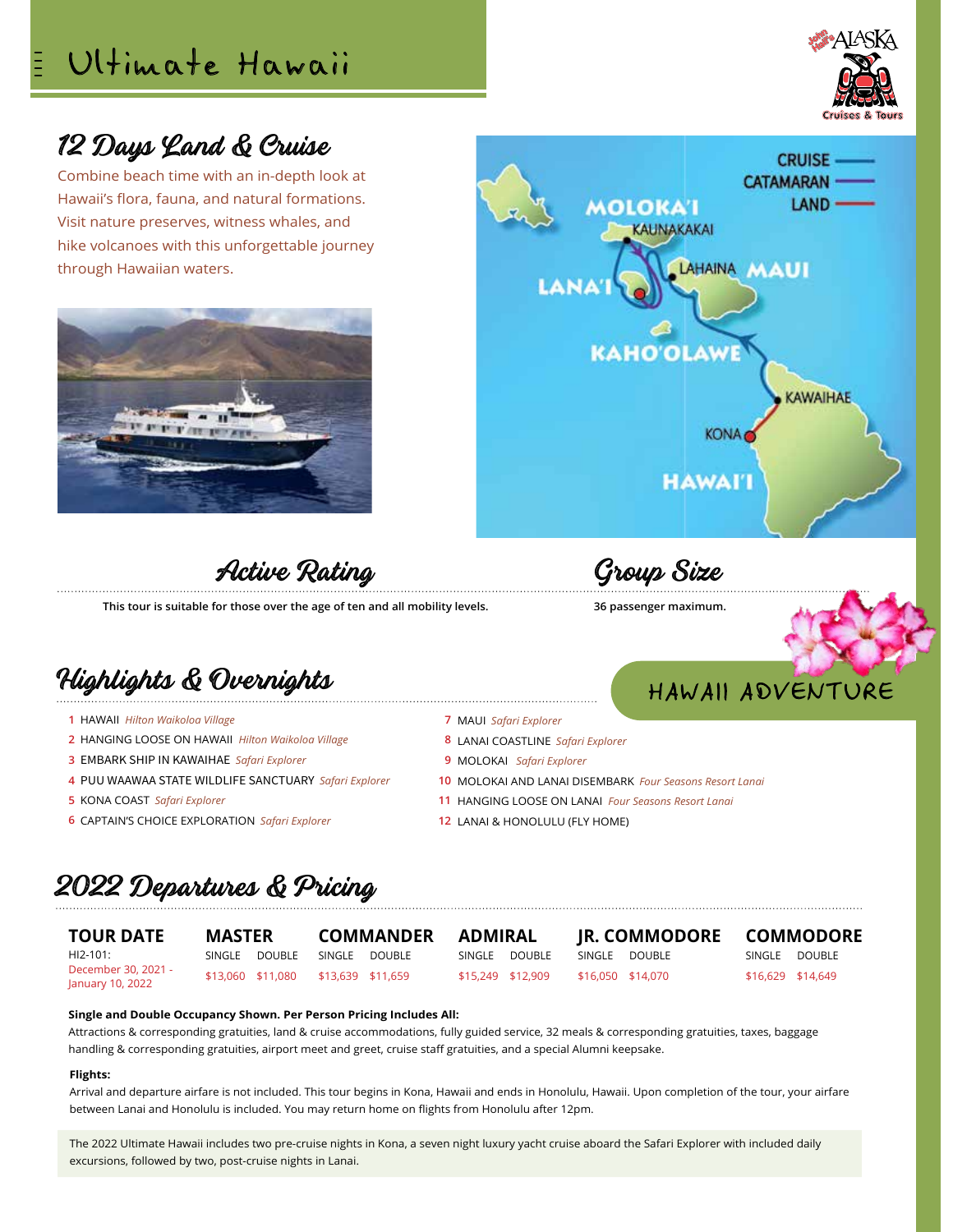# Ultimate Hawaii



# 12 Days Land & Cruise

Combine beach time with an in-depth look at Hawaii's flora, fauna, and natural formations. Visit nature preserves, witness whales, and hike volcanoes with this unforgettable journey through Hawaiian waters.





Active Rating

**This tour is suitable for those over the age of ten and all mobility levels.**

# Highlights & Overnights

- HAWAII *Hilton Waikoloa Village*  **1**
- HANGING LOOSE ON HAWAII *Hilton Waikoloa Village* **2**
- EMBARK SHIP IN KAWAIHAE *Safari Explorer* **3**
- PUU WAAWAA STATE WILDLIFE SANCTUARY *Safari Explorer* **4**
- KONA COAST *Safari Explorer* **5**
- CAPTAIN'S CHOICE EXPLORATION *Safari Explorer* **6**

Group Size

### **36 passenger maximum.**

# HAWAII ADVENTURE

- MAUI *Safari Explorer* **7**
- LANAI COASTLINE *Safari Explorer*  **8**
- MOLOKAI *Safari Explorer* **9**
- MOLOKAI AND LANAI DISEMBARK *Four Seasons Resort Lanai* **10**
- HANGING LOOSE ON LANAI *Four Seasons Resort Lanai* **11**
- 12 LANAI & HONOLULU (FLY HOME)

# 2022 Departures & Pricing

**TOUR DATE** HI2-101: December 30, 2021 - January 10, 2022

**MASTER** SINGLE DOUBLE

\$13,060 \$11,080

**COMMANDER** SINGLE DOUBLE \$13,639 \$11,659

**ADMIRAL** SINGLE DOUBLE \$15,249 \$12,909

SINGLE DOUBLE \$16,050 \$14,070

**JR. COMMODORE**

**COMMODORE**

SINGLE DOUBLE \$16,629 \$14,649

### **Single and Double Occupancy Shown. Per Person Pricing Includes All:**

Attractions & corresponding gratuities, land & cruise accommodations, fully guided service, 32 meals & corresponding gratuities, taxes, baggage handling & corresponding gratuities, airport meet and greet, cruise staff gratuities, and a special Alumni keepsake.

### **Flights:**

Arrival and departure airfare is not included. This tour begins in Kona, Hawaii and ends in Honolulu, Hawaii. Upon completion of the tour, your airfare between Lanai and Honolulu is included. You may return home on flights from Honolulu after 12pm.

The 2022 Ultimate Hawaii includes two pre-cruise nights in Kona, a seven night luxury yacht cruise aboard the Safari Explorer with included daily excursions, followed by two, post-cruise nights in Lanai.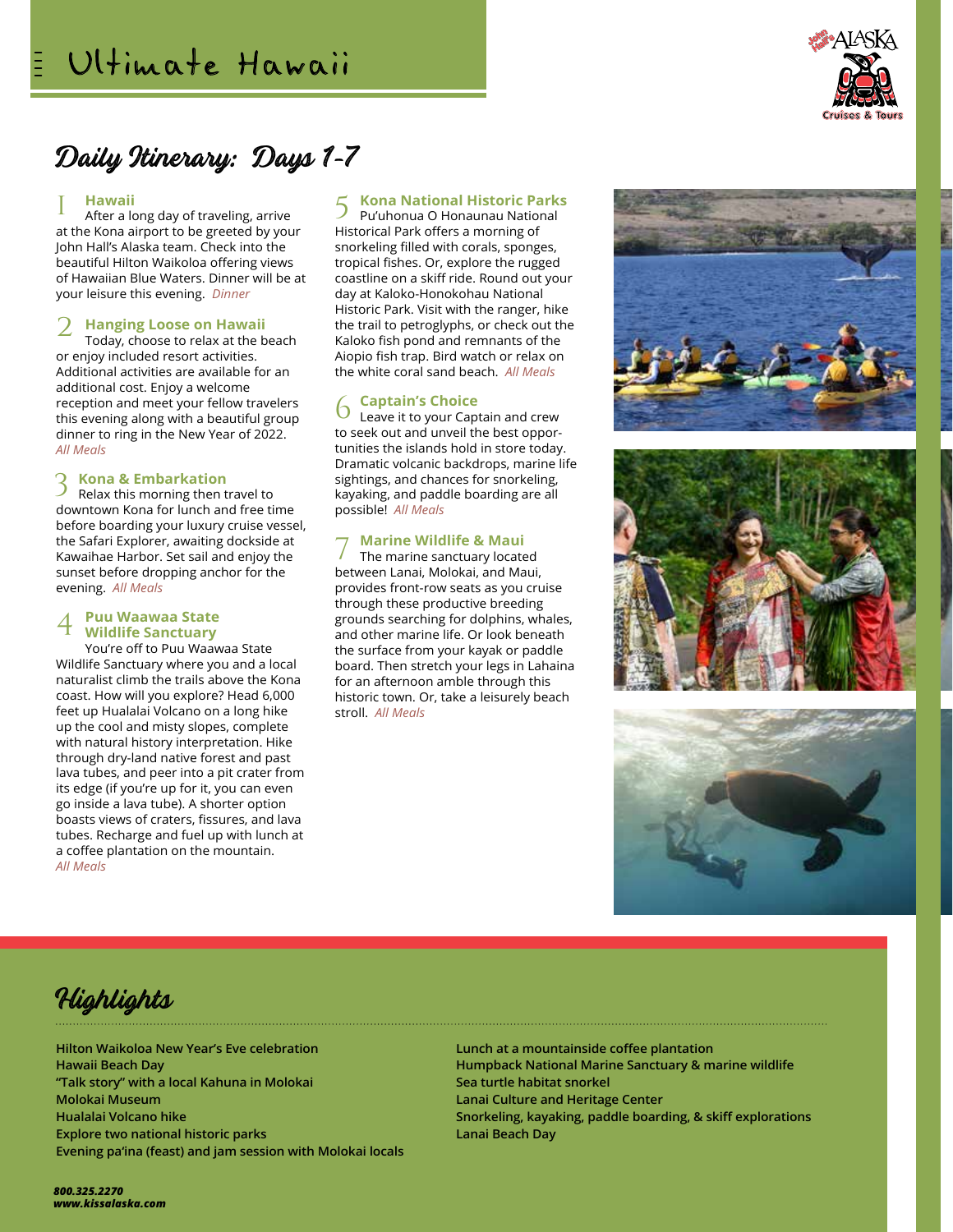

# Daily Itinerary: Days 1-7

### **Hawaii** 1

After a long day of traveling, arrive at the Kona airport to be greeted by your John Hall's Alaska team. Check into the beautiful Hilton Waikoloa offering views of Hawaiian Blue Waters. Dinner will be at your leisure this evening. *Dinner*

### **Hanging Loose on Hawaii** 2

Today, choose to relax at the beach or enjoy included resort activities. Additional activities are available for an additional cost. Enjoy a welcome reception and meet your fellow travelers this evening along with a beautiful group dinner to ring in the New Year of 2022. *All Meals*

### **Kona & Embarkation** 3

Relax this morning then travel to downtown Kona for lunch and free time before boarding your luxury cruise vessel, the Safari Explorer, awaiting dockside at Kawaihae Harbor. Set sail and enjoy the sunset before dropping anchor for the evening. *All Meals*

#### **Puu Waawaa State Wildlife Sanctuary**  4

You're off to Puu Waawaa State Wildlife Sanctuary where you and a local naturalist climb the trails above the Kona coast. How will you explore? Head 6,000 feet up Hualalai Volcano on a long hike up the cool and misty slopes, complete with natural history interpretation. Hike through dry-land native forest and past lava tubes, and peer into a pit crater from its edge (if you're up for it, you can even go inside a lava tube). A shorter option boasts views of craters, fissures, and lava tubes. Recharge and fuel up with lunch at a coffee plantation on the mountain. *All Meals*

# **Kona National Historic Parks**

Pu'uhonua O Honaunau National Historical Park offers a morning of snorkeling filled with corals, sponges, tropical fishes. Or, explore the rugged coastline on a skiff ride. Round out your day at Kaloko-Honokohau National Historic Park. Visit with the ranger, hike the trail to petroglyphs, or check out the Kaloko fish pond and remnants of the Aiopio fish trap. Bird watch or relax on the white coral sand beach. *All Meals* 5

## **Captain's Choice**

Leave it to your Captain and crew to seek out and unveil the best opportunities the islands hold in store today. Dramatic volcanic backdrops, marine life sightings, and chances for snorkeling, kayaking, and paddle boarding are all possible! *All Meals* 6

### **Marine Wildlife & Maui** 7

The marine sanctuary located between Lanai, Molokai, and Maui, provides front-row seats as you cruise through these productive breeding grounds searching for dolphins, whales, and other marine life. Or look beneath the surface from your kayak or paddle board. Then stretch your legs in Lahaina for an afternoon amble through this historic town. Or, take a leisurely beach stroll. *All Meals*









**Hilton Waikoloa New Year's Eve celebration Hawaii Beach Day "Talk story" with a local Kahuna in Molokai Molokai Museum Hualalai Volcano hike Explore two national historic parks Evening pa'ina (feast) and jam session with Molokai locals**

**Lunch at a mountainside coffee plantation Humpback National Marine Sanctuary & marine wildlife Sea turtle habitat snorkel Lanai Culture and Heritage Center Snorkeling, kayaking, paddle boarding, & skiff explorations Lanai Beach Day**